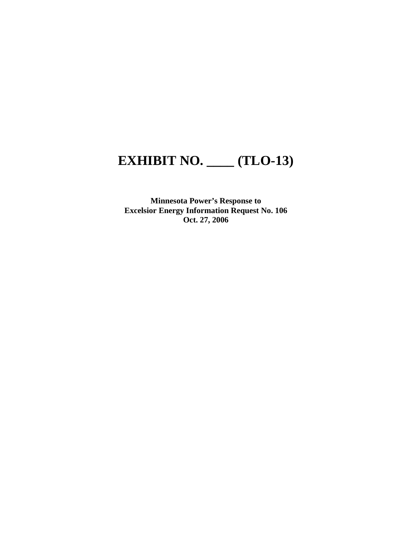## **EXHIBIT NO. \_\_\_\_ (TLO-13)**

**Minnesota Power's Response to Excelsior Energy Information Request No. 106 Oct. 27, 2006**